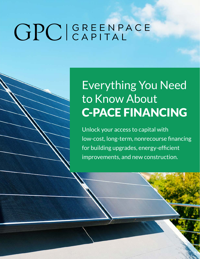# GPCIGREENPACE

## Everything You Need to Know About C-PACE FINANCING

Unlock your access to capital with low-cost, long-term, nonrecourse financing for building upgrades, energy-efficient improvements, and new construction.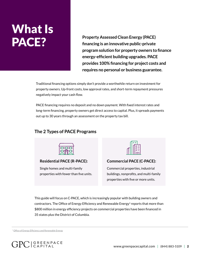## What Is PACE?

**Property Assessed Clean Energy (PACE) financing is an innovative public-private program solution for property owners to finance energy-efficient building upgrades. PACE provides 100% financing for project costs and requires no personal or business guarantee.**

Traditional financing options simply don't provide a worthwhile return on investment for property owners. Up-front costs, low approval rates, and short-term repayment pressures negatively impact your cash flow.

PACE financing requires no deposit and no down payment. With fixed interest rates and long-term financing, property owners get direct access to capital. Plus, it spreads payments out up to 30 years through an assessment on the property tax bill.

#### **The 2 Types of PACE Programs**

| -<br>- |  |
|--------|--|

**Residential PACE (R-PACE):** 

Single homes and multi-family properties with fewer than five units.



**Commercial PACE (C-PACE):** 

Commercial properties, industrial buildings, nonprofits, and multi-family properties with five or more units.

This guide will focus on C-PACE, which is increasingly popular with building owners and contractors. The Office of Energy Efficiency and Renewable Energy<sup>1</sup> reports that more than \$800 million in energy efficiency projects on commercial properties have been financed in 35 states plus the District of Columbia.

<sup>1</sup> [Office of Energy Efficiency and Renewable Energy](https://www.energy.gov/eere/slsc/property-assessed-clean-energy-programs)

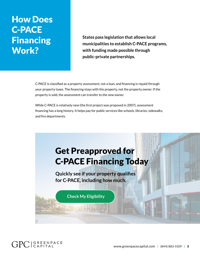### How Does C-PACE Financing Work?

**States pass legislation that allows local municipalities to establish C-PACE programs, with funding made possible through public-private partnerships.**

C-PACE is classified as a property assessment, not a loan, and financing is repaid through your property taxes. The financing stays with the property, not the property owner. If the property is sold, the assessment can transfer to the new owner.

While C-PACE is relatively new (the first project was proposed in 2007), assessment financing has a long history. It helps pay for public services like schools, libraries, sidewalks, and fire departments.

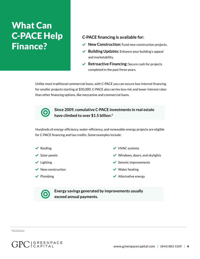## **What Can** C-PACE Help Finance?

#### **C-PACE financing is available for:**

- ◆ **New Construction:** Fund new construction projects.
- ◆ **Building Updates:** Enhance your building's appeal and marketability.
- **Retroactive Financing:** Secure cash for projects completed in the past three years.

Unlike most traditional commercial loans, with C-PACE you can secure low-interest financing for smaller projects starting at \$50,000. C-PACE also carries less risk and lower interest rates than other financing options, like mezzanine and commercial loans.



**Since 2009, cumulative C-PACE investments in real estate have climbed to over \$1.5 billion.<sup>2</sup>**

Hundreds of energy-efficiency, water-efficiency, and renewable-energy projects are eligible for C-PACE financing and tax credits. Some examples include:



 $\bigcirc$ 

◆ HVAC systems

 $\vee$  Windows, doors, and skylights

 $\checkmark$  Seismic improvements

- $\vee$  Water heating
- $\blacktriangleright$  Alternative energy

**Energy savings generated by improvements usually exceed annual payments.** 

<sup>2</sup> [PACENation](https://pacenation.org/wp-content/uploads/2020/04/PACE-Facts-4-24-20.pdf)

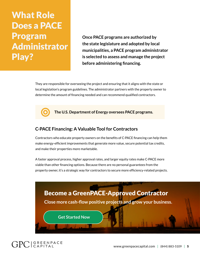What Role Does a PACE Program Administrator Play?

 $\bigcirc$ 

**Once PACE programs are authorized by the state legislature and adopted by local municipalities, a PACE program administrator is selected to assess and manage the project before administering financing.** 

They are responsible for overseeing the project and ensuring that it aligns with the state or local legislation's program guidelines. The administrator partners with the property owner to determine the amount of financing needed and can recommend qualified contractors.

**The U.S. Department of Energy oversees PACE programs.**

#### **C-PACE Financing: A Valuable Tool for Contractors**

Contractors who educate property owners on the benefits of C-PACE financing can help them make energy-efficient improvements that generate more value, secure potential tax credits, and make their properties more marketable.

A faster approval process, higher approval rates, and larger equity rates make C-PACE more viable than other financing options. Because there are no personal guarantees from the property owner, it's a strategic way for contractors to secure more efficiency-related projects.



#### $GPC|$  GREENPACE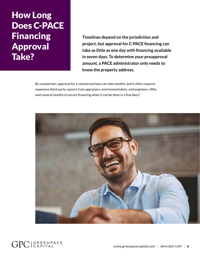## How Long Does C-PACE Financing Approval Take?

**Timelines depend on the jurisdiction and project, but approval for C-PACE financing can take as little as one day with financing available in seven days. To determine your preapproval amount, a PACE administrator only needs to know the property address.** 

By comparison, approval for a commercial loan can take months, and it often requires expensive third-party reports from appraisers, environmentalists, and engineers. Why wait several months to secure financing when it can be done in a few days?

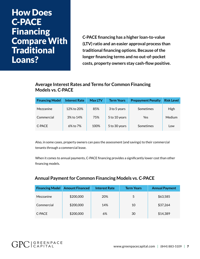#### How Does C-PACE Financing Compare With **Traditional** Loans?

**C-PACE financing has a higher loan-to-value (LTV) ratio and an easier approval process than traditional financing options. Because of the longer financing terms and no out-of-pocket costs, property owners stay cash-flow positive.** 

#### **Average Interest Rates and Terms for Common Financing Models vs. C-PACE**

| <b>Financing Model</b> | <b>Interest Rate</b> | <b>Max LTV</b> | <b>Term Years</b> | <b>Prepayment Penalty</b> | <b>Risk Level</b> |
|------------------------|----------------------|----------------|-------------------|---------------------------|-------------------|
| Mezzanine              | 12% to 20%           | 85%            | 3 to 5 years      | Sometimes                 | High              |
| Commercial             | 3% to 14%            | 75%            | 5 to 10 years     | Yes                       | Medium            |
| C-PACE                 | 6% to 7%             | 100%           | 5 to 30 years     | Sometimes                 | Low               |

Also, in some cases, property owners can pass the assessment (and savings) to their commercial tenants through a commercial lease.

When it comes to annual payments, C-PACE financing provides a significantly lower cost than other financing models.

#### **Annual Payment for Common Financing Models vs. C-PACE**

| <b>Financing Model</b> | <b>Amount Financed</b> | <b>Interest Rate</b> | <b>Term Years</b> | <b>Annual Payment</b> |
|------------------------|------------------------|----------------------|-------------------|-----------------------|
| Mezzanine              | \$200,000              | 20%                  | 5                 | \$63,585              |
| Commercial             | \$200,000              | 14%                  | 10                | \$37,264              |
| C-PACE                 | \$200,000              | 6%                   | 30                | \$14,389              |

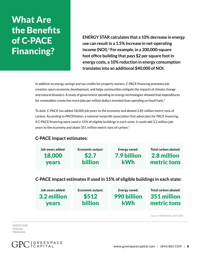## What Are the Benefits of C-PACE Financing?

**ENERGY STAR calculates that a 10% decrease in energy use can result in a 1.5% increase in net-operating income (NOI).<sup>3</sup> For example, in a 200,000-square foot office building that pays \$2 per square foot in energy costs, a 10% reduction in energy consumption translates into an additional \$40,000 of NOI.** 

In addition to energy savings and tax credits for property owners, C-PACE financing promotes job creation, spurs economic development, and helps communities mitigate the impacts of climate change and natural disasters. A study of government spending on energy technologies showed that expenditures for renewables create five more jobs per million dollars invested than spending on fossil fuels.<sup>4</sup>

To date, C-PACE has added 18,000 job years to the economy and abated 2.85 million metric tons of carbon. According to PACENation, a national nonprofit association that advocates for PACE financing, if C-PACE financing were used in 15% of eligible buildings in each state, it could add 3.2 million jobyears to the economy and abate 351 million metric tons of carbon.5

#### **C-PACE impact estimates:**

| Job-years added: | <b>Economic output:</b> | Energy saved: | Total carbon abated: |
|------------------|-------------------------|---------------|----------------------|
| 18,000           | \$2.7                   | 7.9 billion   | 2.8 million          |
| <b>vears</b>     | <b>billion</b>          | <b>kWh</b>    | metric tons          |
|                  |                         |               |                      |

**C-PACE impact estimates if used in 15% of eligible buildings in each state:**

| Job-years added: | <b>Economic output:</b> | Energy saved: | Total carbon abated: |
|------------------|-------------------------|---------------|----------------------|
| 3.2 million      | \$512                   | 990 billion   | 351 million          |
| <b>years</b>     | <b>billion</b>          | <b>kWh</b>    | metric tons          |

Source: PACENation, April 2020

<sup>3</sup> [ENERGY STAR](https://www.energystar.gov/sites/default/files/buildings/tools/CommercialRealEstate.pdf) <sup>4</sup> [McKinsey](https://www.mckinsey.com/business-functions/sustainability/our-insights/how-a-post-pandemic-stimulus-can-both-create-jobs-and-help-the-climate) <sup>5</sup> [PACENation](https://pacenation.org/wp-content/uploads/2020/04/PACE-Facts-4-24-20.pdf)

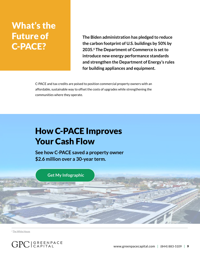## What's the Future of C-PACE?

**The Biden administration has pledged to reduce the carbon footprint of U.S. buildings by 50% by 2035.6 The Department of Commerce is set to introduce new energy performance standards and strengthen the Department of Energy's rules for building appliances and equipment.**

C-PACE and tax credits are poised to position commercial property owners with an affordable, sustainable way to offset the costs of upgrades while strengthening the communities where they operate.

### How C-PACE Improves Your Cash Flow

**See how C-PACE saved a property owner \$2.6 million over a 30-year term.**



<sup>6</sup> [The White House](https://www.whitehouse.gov/briefing-room/statements-releases/2021/04/22/fact-sheet-president-biden-sets-2030-greenhouse-gas-pollution-reduction-target-aimed-at-creating-good-paying-union-jobs-and-securing-u-s-leadership-on-clean-energy-technologies)